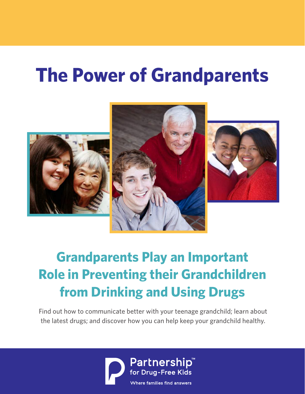# **The Power of Grandparents**







# **Grandparents Play an Important Role in Preventing their Grandchildren from Drinking and Using Drugs**

Find out how to communicate better with your teenage grandchild; learn about the latest drugs; and discover how you can help keep your grandchild healthy.

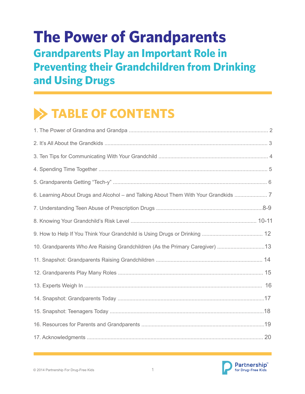### **The Power of Grandparents Grandparents Play an Important Role in Preventing their Grandchildren from Drinking and Using Drugs**

## **TABLE OF CONTENTS**

| 6. Learning About Drugs and Alcohol – and Talking About Them With Your Grandkids |  |
|----------------------------------------------------------------------------------|--|
|                                                                                  |  |
|                                                                                  |  |
|                                                                                  |  |
| 10. Grandparents Who Are Raising Grandchildren (As the Primary Caregiver) 13     |  |
|                                                                                  |  |
|                                                                                  |  |
|                                                                                  |  |
|                                                                                  |  |
|                                                                                  |  |
|                                                                                  |  |
|                                                                                  |  |

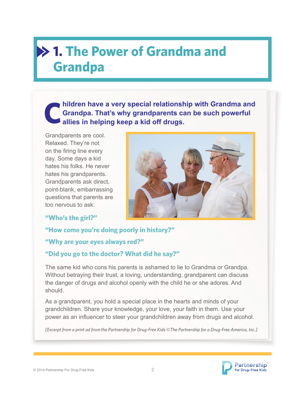### **1. The Power of Grandma and Grandpa**

**hildren have a very special relationship with Grandma and Grandpa. That's why grandparents can be such powerful allies in helping keep a kid off drugs. C**

Grandparents are cool. Relaxed. They're not on the firing line every day. Some days a kid hates his folks. He never hates his grandparents. Grandparents ask direct, point-blank, embarrassing questions that parents are too nervous to ask:

#### **"Who's the girl?"**



#### **"How come you're doing poorly in history?"**

#### **"Why are your eyes always red?"**

#### **"Did you go to the doctor? What did he say?"**

The same kid who cons his parents is ashamed to lie to Grandma or Grandpa. Without betraying their trust, a loving, understanding, grandparent can discuss the danger of drugs and alcohol openly with the child he or she adores. And should.

As a grandparent, you hold a special place in the hearts and minds of your grandchildren. Share your knowledge, your love, your faith in them. Use your power as an influencer to steer your grandchildren away from drugs and alcohol.

*[Excerpt from a print ad from the Partnership for Drug-Free Kids ©The Partnership for a Drug-Free America, Inc.]*



i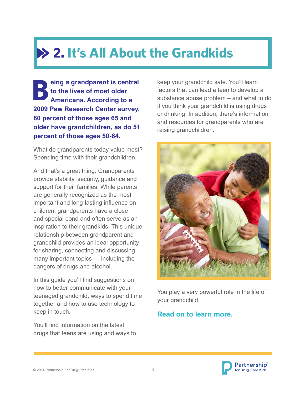# **2. It's All About the Grandkids**

**eing a grandparent is central to the lives of most older Americans. According to a 2009 Pew Research Center survey, 80 percent of those ages 65 and older have grandchildren, as do 51 percent of those ages 50-64. B**

What do grandparents today value most? Spending time with their grandchildren.

And that's a great thing. Grandparents provide stability, security, guidance and support for their families. While parents are generally recognized as the most important and long-lasting influence on children, grandparents have a close and special bond and often serve as an inspiration to their grandkids. This unique relationship between grandparent and grandchild provides an ideal opportunity for sharing, connecting and discussing many important topics — including the dangers of drugs and alcohol.

In this guide you'll find suggestions on how to better communicate with your teenaged grandchild, ways to spend time together and how to use technology to keep in touch.

You'll find information on the latest drugs that teens are using and ways to keep your grandchild safe. You'll learn factors that can lead a teen to develop a substance abuse problem – and what to do if you think your grandchild is using drugs or drinking. In addition, there's information and resources for grandparents who are raising grandchildren.



You play a very powerful role in the life of your grandchild.

#### **Read on to learn more.**

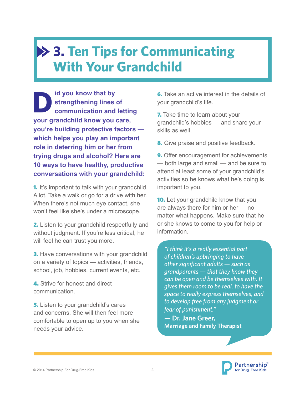### **3. Ten Tips for Communicating With Your Grandchild**

**id you know that by strengthening lines of communication and letting your grandchild know you care, you're building protective factors which helps you play an important role in deterring him or her from trying drugs and alcohol? Here are 10 ways to have healthy, productive conversations with your grandchild: D**

**1.** It's important to talk with your grandchild. A lot. Take a walk or go for a drive with her. When there's not much eye contact, she won't feel like she's under a microscope.

**2.** Listen to your grandchild respectfully and without judgment. If you're less critical, he will feel he can trust you more.

**3.** Have conversations with your grandchild on a variety of topics — activities, friends, school, job, hobbies, current events, etc.

4. Strive for honest and direct communication.

**5.** Listen to your grandchild's cares and concerns. She will then feel more comfortable to open up to you when she needs your advice.

**6.** Take an active interest in the details of your grandchild's life.

**7.** Take time to learn about your grandchild's hobbies — and share your skills as well

**8.** Give praise and positive feedback.

**9.** Offer encouragement for achievements — both large and small — and be sure to attend at least some of your grandchild's activities so he knows what he's doing is important to you.

**10.** Let your grandchild know that you are always there for him or her — no matter what happens. Make sure that he or she knows to come to you for help or information.

*"I think it's a really essential part of children's upbringing to have other significant adults — such as grandparents — that they know they can be open and be themselves with. It gives them room to be real, to have the space to really express themselves, and to develop free from any judgment or fear of punishment."*

**— Dr. Jane Greer, Marriage and Family Therapist**

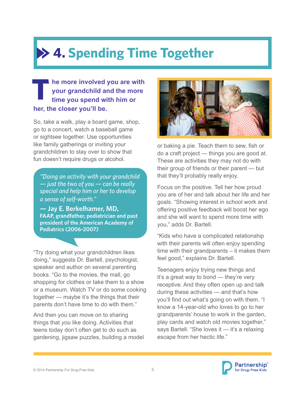# **4. Spending Time Together**

#### **he more involved you are with your grandchild and the more time you spend with him or her, the closer you'll be. T**

So, take a walk, play a board game, shop, go to a concert, watch a baseball game or sightsee together. Use opportunities like family gatherings or inviting your grandchildren to stay over to show that fun doesn't require drugs or alcohol.

*"Doing an activity with your grandchild — just the two of you — can be really special and help him or her to develop a sense of self-worth."*

**— Jay E. Berkelhamer, MD, FAAP, grandfather, pediatrician and past president of the American Academy of Pediatrics (2006-2007)**

"Try doing what your grandchildren likes doing," suggests Dr. Bartell, psychologist, speaker and author on several parenting books. "Go to the movies, the mall, go shopping for clothes or take them to a show or a museum. Watch TV or do some cooking together — maybe it's the things that their parents don't have time to do with them."

And then you can move on to sharing things that *you* like doing. Activities that teens today don't often get to do such as gardening, jigsaw puzzles, building a model



or baking a pie. Teach them to sew, fish or do a craft project — things you are good at. These are activities they may not do with their group of friends or their parent — but that they'll probably really enjoy.

Focus on the positive. Tell her how proud you are of her and talk about her life and her goals. "Showing interest in school work and offering positive feedback will boost her ego and she will want to spend more time with you," adds Dr. Bartell.

"Kids who have a complicated relationship with their parents will often enjoy spending time with their grandparents – it makes them feel good," explains Dr. Bartell.

Teenagers enjoy trying new things and it's a great way to bond — they're very receptive. And they often open up and talk during these activities — and that's how you'll find out what's going on with them. "I know a 14-year-old who loves to go to her grandparents' house to work in the garden, play cards and watch old movies together," says Bartell. "She loves it — it's a relaxing escape from her hectic life."

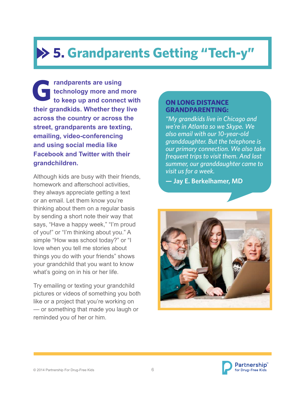# **5. Grandparents Getting "Tech-y"**

**randparents are using technology more and more to keep up and connect with their grandkids. Whether they live across the country or across the street, grandparents are texting, emailing, video-conferencing and using social media like Facebook and Twitter with their grandchildren. G ON LONG DISTANCE** 

Although kids are busy with their friends, homework and afterschool activities, they always appreciate getting a text or an email. Let them know you're thinking about them on a regular basis by sending a short note their way that says, "Have a happy week," "I'm proud of you!" or "I'm thinking about you." A simple "How was school today?" or "I love when you tell me stories about things you do with your friends" shows your grandchild that you want to know what's going on in his or her life.

Try emailing or texting your grandchild pictures or videos of something you both like or a project that you're working on — or something that made you laugh or reminded you of her or him.

### **GRANDPARENTING:**

*"My grandkids live in Chicago and we're in Atlanta so we Skype. We also email with our 10-year-old granddaughter. But the telephone is our primary connection. We also take frequent trips to visit them. And last summer, our granddaughter came to visit us for a week.*

**— Jay E. Berkelhamer, MD**



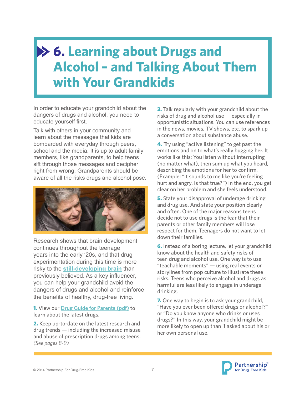### **6. Learning about Drugs and Alcohol – and Talking About Them with Your Grandkids**

In order to educate your grandchild about the dangers of drugs and alcohol, you need to educate yourself first.

Talk with others in your community and learn about the messages that kids are bombarded with everyday through peers, school and the media. It is up to adult family members, like grandparents, to help teens sift through those messages and decipher right from wrong. Grandparents should be aware of all the risks drugs and alcohol pose.



Research shows that brain development continues throughout the teenage years into the early '20s, and that drug experimentation during this time is more risky to the **[still-developing brain](http://www.drugfree.org/why-do-teens-act-this-way/adolescent-brain-development/)** than previously believed. As a key influencer, you can help your grandchild avoid the dangers of drugs and alcohol and reinforce the benefits of healthy, drug-free living.

1. View our **[Drug Guide for Parents \(pdf\)](http://www.drugfree.org/resources/drug-guide-for-parents-learn-the-facts-to-keep-your-teen-safe/)** to learn about the latest drugs.

2. Keep up-to-date on the latest research and drug trends — including the increased misuse and abuse of prescription drugs among teens. *(See pages 8-9)* 

**3.** Talk regularly with your grandchild about the risks of drug and alcohol use — especially in opportunistic situations. You can use references in the news, movies, TV shows, etc. to spark up a conversation about substance abuse.

**4.** Try using "active listening" to get past the emotions and on to what's really bugging her. It works like this: You listen without interrupting (no matter what), then sum up what you heard, describing the emotions for her to confirm. (Example: "It sounds to me like you're feeling hurt and angry. Is that true?") In the end, you get clear on her problem and she feels understood.

**5.** State your disapproval of underage drinking and drug use. And state your position clearly and often. One of the major reasons teens decide not to use drugs is the fear that their parents or other family members will lose respect for them. Teenagers do not want to let down their families.

**6.** Instead of a boring lecture, let your grandchild know about the health and safety risks of teen drug and alcohol use. One way is to use "teachable moments" — using real events or storylines from pop culture to illustrate these risks. Teens who perceive alcohol and drugs as harmful are less likely to engage in underage drinking.

**7.** One way to begin is to ask your grandchild, "Have you ever been offered drugs or alcohol?" or "Do you know anyone who drinks or uses drugs?" In this way, your grandchild might be more likely to open up than if asked about his or her own personal use.

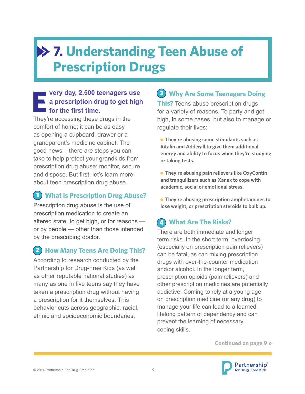### **7. Understanding Teen Abuse of Prescription Drugs**

#### **very day, 2,500 teenagers use a prescription drug to get high for the first time. E**

They're accessing these drugs in the comfort of home; it can be as easy as opening a cupboard, drawer or a grandparent's medicine cabinet. The good news – there are steps you can take to help protect your grandkids from prescription drug abuse: monitor, secure and dispose. But first, let's learn more about teen prescription drug abuse.

### **1** What is Prescription Drug Abuse?

Prescription drug abuse is the use of prescription medication to create an altered state, to get high, or for reasons or by people — other than those intended by the prescribing doctor.

### **(2) How Many Teens Are Doing This?**

According to research conducted by the Partnership for Drug-Free Kids (as well as other reputable national studies) as many as one in five teens say they have taken a prescription drug without having a prescription for it themselves. This behavior cuts across geographic, racial, ethnic and socioeconomic boundaries.

### **3 Why Are Some Teenagers Doing**

**This?** Teens abuse prescription drugs for a variety of reasons. To party and get high, in some cases, but also to manage or regulate their lives:

 **They're abusing some stimulants such as Ritalin and Adderall to give them additional energy and ability to focus when they're studying or taking tests.**

**• They're abusing pain relievers like OxyContin and tranquilizers such as Xanax to cope with academic, social or emotional stress.**

 **They're abusing prescription amphetamines to lose weight, or prescription steroids to bulk up.**

### **What Are The Risks?** 4

There are both immediate and longer term risks. In the short term, overdosing (especially on prescription pain relievers) can be fatal, as can mixing prescription drugs with over-the-counter medication and/or alcohol. In the longer term, prescription opioids (pain relievers) and other prescription medicines are potentially addictive. Coming to rely at a young age on prescription medicine (or any drug) to manage your life can lead to a learned, lifelong pattern of dependency and can prevent the learning of necessary coping skills.

**Continued on page 9 »**

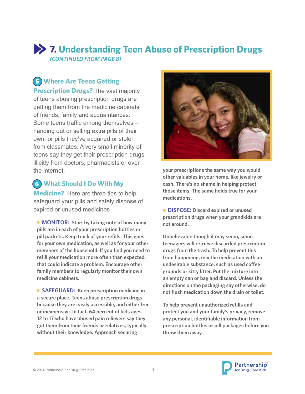### **7. Understanding Teen Abuse of Prescription Drugs** *(CONTINUED FROM PAGE 8)*

### **Where Are Teens Getting**  5

**Prescription Drugs?** The vast majority of teens abusing prescription drugs are getting them from the medicine cabinets of friends, family and acquaintances. Some teens traffic among themselves – handing out or selling extra pills of their own, or pills they've acquired or stolen from classmates. A very small minority of teens say they get their prescription drugs illicitly from doctors, pharmacists or over the internet.

#### **What Should I Do With My**  6

**Medicine?** Here are three tips to help safeguard your pills and safely dispose of expired or unused medicines

**• MONITOR: Start by taking note of how many pills are in each of your prescription bottles or pill packets. Keep track of your refills. This goes for your own medication, as well as for your other members of the household. If you find you need to refill your medication more often than expected, that could indicate a problem. Encourage other family members to regularly monitor their own medicine cabinets.**

**• SAFEGUARD:** Keep prescription medicine in **a secure place. Teens abuse prescription drugs because they are easily accessible, and either free or inexpensive. In fact, 64 percent of kids ages 12 to 17 who have abused pain relievers say they got them from their friends or relatives, typically without their knowledge. Approach securing** 



**your prescriptions the same way you would other valuables in your home, like jewelry or cash. There's no shame in helping protect those items. The same holds true for your medications.**

 **DISPOSE: Discard expired or unused prescription drugs when your grandkids are not around.**

**Unbelievable though it may seem, some teenagers will retrieve discarded prescription drugs from the trash. To help prevent this from happening, mix the medication with an undesirable substance, such as used coffee grounds or kitty litter. Put the mixture into an empty can or bag and discard. Unless the directions on the packaging say otherwise, do not flush medication down the drain or toilet.**

**To help prevent unauthorized refills and protect you and your family's privacy, remove any personal, identifiable information from prescription bottles or pill packages before you throw them away.**



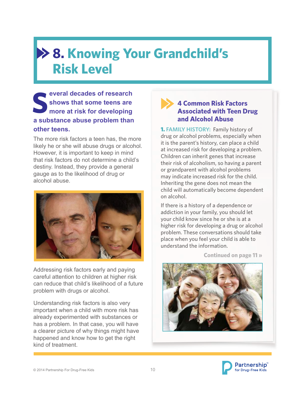### **8. Knowing Your Grandchild's Risk Level**

**everal decades of research shows that some teens are more at risk for developing a substance abuse problem than other teens. S**

The more risk factors a teen has, the more likely he or she will abuse drugs or alcohol. However, it is important to keep in mind that risk factors do not determine a child's destiny. Instead, they provide a general gauge as to the likelihood of drug or alcohol abuse.



Addressing risk factors early and paying careful attention to children at higher risk can reduce that child's likelihood of a future problem with drugs or alcohol.

Understanding risk factors is also very important when a child with more risk has already experimented with substances or has a problem. In that case, you will have a clearer picture of why things might have happened and know how to get the right kind of treatment.

#### **4 Common Risk Factors Associated with Teen Drug and Alcohol Abuse**

1. **FAMILY HISTORY:** Family history of drug or alcohol problems, especially when it is the parent's history, can place a child at increased risk for developing a problem. Children can inherit genes that increase their risk of alcoholism, so having a parent or grandparent with alcohol problems may indicate increased risk for the child. Inheriting the gene does not mean the child will automatically become dependent on alcohol.

If there is a history of a dependence or addiction in your family, you should let your child know since he or she is at a higher risk for developing a drug or alcohol problem. These conversations should take place when you feel your child is able to understand the information.



**Continued on page 11 »**

© 2014 Partnership For Drug-Free Kids 10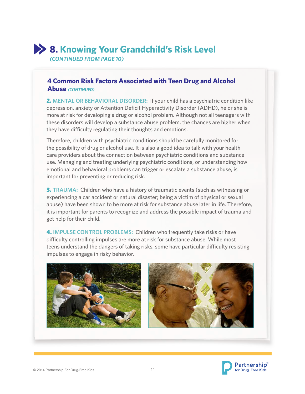### **8. Knowing Your Grandchild's Risk Level**

*(CONTINUED FROM PAGE 10)* 

#### **4 Common Risk Factors Associated with Teen Drug and Alcohol Abuse** *(CONTINUED)*

2. **MENTAL OR BEHAVIORAL DISORDER:** If your child has a psychiatric condition like depression, anxiety or Attention Deficit Hyperactivity Disorder (ADHD), he or she is more at risk for developing a drug or alcohol problem. Although not all teenagers with these disorders will develop a substance abuse problem, the chances are higher when they have difficulty regulating their thoughts and emotions.

Therefore, children with psychiatric conditions should be carefully monitored for the possibility of drug or alcohol use. It is also a good idea to talk with your health care providers about the connection between psychiatric conditions and substance use. Managing and treating underlying psychiatric conditions, or understanding how emotional and behavioral problems can trigger or escalate a substance abuse, is important for preventing or reducing risk.

3. **TRAUMA:** Children who have a history of traumatic events (such as witnessing or experiencing a car accident or natural disaster; being a victim of physical or sexual abuse) have been shown to be more at risk for substance abuse later in life. Therefore, it is important for parents to recognize and address the possible impact of trauma and get help for their child.

4. **IMPULSE CONTROL PROBLEMS:** Children who frequently take risks or have difficulty controlling impulses are more at risk for substance abuse. While most teens understand the dangers of taking risks, some have particular difficulty resisting impulses to engage in risky behavior.





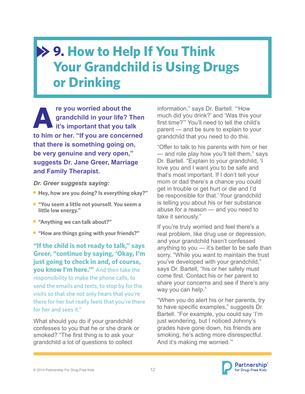### **9. How to Help If You Think Your Grandchild is Using Drugs or Drinking**

**re you worried about the grandchild in your life? Then it's important that you talk to him or her. "If you are concerned that there is something going on, be very genuine and very open," suggests Dr. Jane Greer, Marriage and Family Therapist. A**

#### *Dr. Greer suggests saying:*

- **Hey, how are you doing? Is everything okay?"**
- **"You seem a little not yourself. You seem a little low energy."**
- **"Anything we can talk about?"**
- **"How are things going with your friends?"**

**"If the child is not ready to talk," says Greer, "continue by saying, 'Okay, I'm just going to check in and, of course, you know I'm here.'"** And then take the responsibility to make the phone calls, to send the emails and texts, to stop by for the visits so that she not only hears that you're there for her but really feels that you're there for her and sees it."

What should you do if your grandchild confesses to you that he or she drank or smoked? "The first thing is to ask your grandchild a lot of questions to collect

information," says Dr. Bartell. "'How much did you drink?' and 'Was this your first time?'" You'll need to tell the child's parent — and be sure to explain to your grandchild that you need to do this.

"Offer to talk to his parents with him or her — and role play how you'll tell them," says Dr. Bartell. "Explain to your grandchild, 'I love you and I want you to be safe and that's most important. If I don't tell your mom or dad there's a chance you could get in trouble or get hurt or die and I'd be responsible for that.' Your grandchild is telling you about his or her substance abuse for a reason — and you need to take it seriously."

If you're truly worried and feel there's a real problem, like drug use or depression, and your grandchild hasn't confessed anything to you — it's better to be safe than sorry. "While you want to maintain the trust you've developed with your grandchild," says Dr. Bartell, "his or her safety must come first. Contact his or her parent to share your concerns and see if there's any way you can help."

"When you do alert his or her parents, try to have specific examples," suggests Dr. Bartell. "For example, you could say 'I'm just wondering, but I noticed Johnny's grades have gone down, his friends are smoking, he's acting more disrespectful. And it's making me worried.'"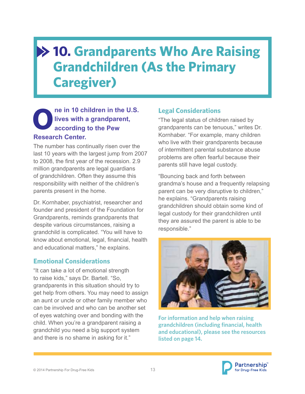### **10. Grandparents Who Are Raising Grandchildren (As the Primary Caregiver)**

#### **ne in 10 children in the U.S. lives with a grandparent, according to the Pew Research Center. O Legal Considerations**

The number has continually risen over the last 10 years with the largest jump from 2007 to 2008, the first year of the recession. 2.9 million grandparents are legal guardians of grandchildren. Often they assume this responsibility with neither of the children's parents present in the home.

Dr. Kornhaber, psychiatrist, researcher and founder and president of the Foundation for Grandparents, reminds grandparents that despite various circumstances, raising a grandchild is complicated. "You will have to know about emotional, legal, financial, health and educational matters," he explains.

#### **Emotional Considerations**

"It can take a lot of emotional strength to raise kids," says Dr. Bartell. "So, grandparents in this situation should try to get help from others. You may need to assign an aunt or uncle or other family member who can be involved and who can be another set of eyes watching over and bonding with the child. When you're a grandparent raising a grandchild you need a big support system and there is no shame in asking for it."

"The legal status of children raised by grandparents can be tenuous," writes Dr. Kornhaber. "For example, many children who live with their grandparents because of intermittent parental substance abuse problems are often fearful because their parents still have legal custody.

"Bouncing back and forth between grandma's house and a frequently relapsing parent can be very disruptive to children," he explains. "Grandparents raising grandchildren should obtain some kind of legal custody for their grandchildren until they are assured the parent is able to be responsible."



**For information and help when raising grandchildren (including financial, health and educational), please see the resources listed on page 14.**

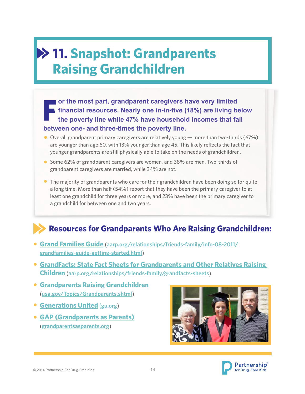### **11. Snapshot: Grandparents Raising Grandchildren**

**or the most part, grandparent caregivers have very limited financial resources. Nearly one in-in-five (18%) are living below the poverty line while 47% have household incomes that fall between one- and three-times the poverty line. F**

- Overall grandparent primary caregivers are relatively young more than two-thirds (67%) are younger than age 60, with 13% younger than age 45. This likely reflects the fact that younger grandparents are still physically able to take on the needs of grandchildren.
- **Some 62% of grandparent caregivers are women, and 38% are men. Two-thirds of** grandparent caregivers are married, while 34% are not.
- **•** The majority of grandparents who care for their grandchildren have been doing so for quite a long time. More than half (54%) report that they have been the primary caregiver to at least one grandchild for three years or more, and 23% have been the primary caregiver to a grandchild for between one and two years.

### **Resources for Grandparents Who Are Raising Grandchildren:**

- **[Grand Families Guide](http://www.aarp.org/relationships/friends-family/info-08-2011/grandfamilies-guide-getting-started.html)** (**[aarp.org/relationships/friends-family/info-08-2011/](http://www.aarp.org/relationships/friends-family/info-08-2011/grandfamilies-guide-getting-started.html) [grandfamilies-guide-getting-started.html](http://www.aarp.org/relationships/friends-family/info-08-2011/grandfamilies-guide-getting-started.html)**)
- **[GrandFacts: State Fact Sheets for Grandparents and Other Relatives Raising](http://www.aarp.org/relationships/friends-family/grandfacts-sheets/)  [Children](http://www.aarp.org/relationships/friends-family/grandfacts-sheets/)** (**[aarp.org/relationships/friends-family/grandfacts-sheets](http://www.aarp.org/relationships/friends-family/grandfacts-sheets/)**)
- **[Grandparents Raising Grandchildren](http://www.usa.gov/Topics/Grandparents.shtml)** (**[usa.gov/Topics/Grandparents.shtml](http://www.usa.gov/Topics/Grandparents.shtml)**)
- **[Generations United](http://www.gu.org/)** (**[gu.org](http://www.gu.org/)**)
- **[GAP \(Grandparents as Parents\)](http://www.grandparentsasparents.org/)** (**[grandparentsasparents.org](http://www.grandparentsasparents.org/)**)



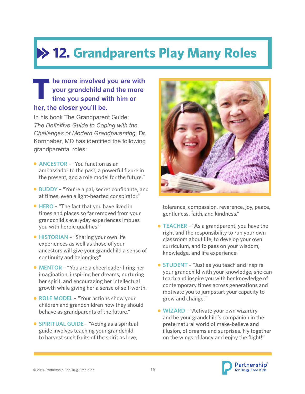# **12. Grandparents Play Many Roles**

#### **he more involved you are with your grandchild and the more time you spend with him or her, the closer you'll be. T**

In his book The Grandparent Guide: *The Definitive Guide to Coping with the Challenges of Modern Grandparenting,* Dr. Kornhaber, MD has identified the following grandparental roles:

- **ANCESTOR**  "You function as an ambassador to the past, a powerful figure in the present, and a role model for the future."
- **BUDDY** "You're a pal, secret confidante, and at times, even a light-hearted conspirator."
- **HERO** "The fact that you have lived in times and places so far removed from your grandchild's everyday experiences imbues you with heroic qualities."
- **HISTORIAN** "Sharing your own life experiences as well as those of your ancestors will give your grandchild a sense of continuity and belonging."
- **MENTOR** "You are a cheerleader firing her imagination, inspiring her dreams, nurturing her spirit, and encouraging her intellectual growth while giving her a sense of self-worth."
- **ROLE MODEL** "Your actions show your children and grandchildren how they should behave as grandparents of the future."
- **SPIRITUAL GUIDE** "Acting as a spiritual guide involves teaching your grandchild to harvest such fruits of the spirit as love,



tolerance, compassion, reverence, joy, peace, gentleness, faith, and kindness."

- **TEACHER** "As a grandparent, you have the right and the responsibility to run your own classroom about life, to develop your own curriculum, and to pass on your wisdom, knowledge, and life experience."
- **STUDENT** "Just as you teach and inspire your grandchild with your knowledge, she can teach and inspire you with her knowledge of contemporary times across generations and motivate you to jumpstart your capacity to grow and change."
- **WIZARD** "Activate your own wizardry and be your grandchild's companion in the preternatural world of make-believe and illusion, of dreams and surprises. Fly together on the wings of fancy and enjoy the flight!"

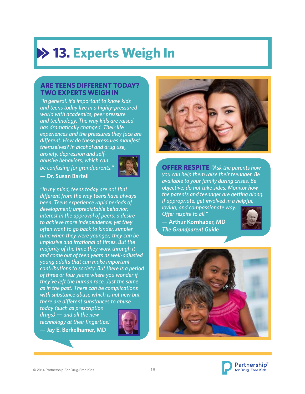# **13. Experts Weigh In**

#### **ARE TEENS DIFFERENT TODAY? TWO EXPERTS WEIGH IN**

*"In general, it's important to know kids and teens today live in a highly-pressured world with academics, peer pressure and technology. The way kids are raised has dramatically changed. Their life experiences and the pressures they face are different. How do these pressures manifest themselves? In alcohol and drug use,* 

*anxiety, depression and selfabusive behaviors, which can be confusing for grandparents."*



**— Dr. Susan Bartell**

*"In my mind, teens today are not that different from the way teens have always been. Teens experience rapid periods of development; unpredictable behavior; interest in the approval of peers; a desire to achieve more independence; yet they often want to go back to kinder, simpler time when they were younger; they can be implosive and irrational at times. But the majority of the time they work through it and come out of teen years as well-adjusted young adults that can make important contributions to society. But there is a period of three or four years where you wonder if they've left the human race. Just the same as in the past. There can be complications with substance abuse which is not new but there are different substances to abuse* 

*today (such as prescription drugs) — and all the new technology at their fingertips."* **— Jay E. Berkelhamer, MD**





**OFFER RESPITE** *"Ask the parents how you can help them raise their teenager. Be available to your family during crises. Be objective; do not take sides. Monitor how the parents and teenager are getting along. If appropriate, get involved in a helpful,* 

*loving, and compassionate way. Offer respite to all."* **— Arthur Kornhaber, MD**  *The Grandparent Guide*





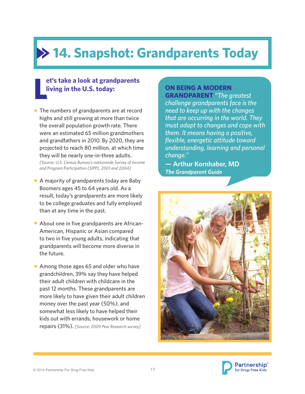# **14. Snapshot: Grandparents Today**

### **L et's take a look at grandparents living in the U.S. today:**

- The numbers of grandparents are at record highs and still growing at more than twice the overall population growth rate. There were an estimated 65 million grandmothers and grandfathers in 2010. By 2020, they are projected to reach 80 million, at which time they will be nearly one-in-three adults. *[Source: U.S. Census Bureau's nationwide Survey of Income and Program Participation (SIPP), 2001 and 2004]*
- A majority of grandparents today are Baby Boomers ages 45 to 64 years old. As a result, today's grandparents are more likely to be college graduates and fully employed than at any time in the past.
- About one in five grandparents are African-American, Hispanic or Asian compared to two in five young adults, indicating that grandparents will become more diverse in the future.
- Among those ages 65 and older who have grandchildren, 39% say they have helped their adult children with childcare in the past 12 months. These grandparents are more likely to have given their adult children money over the past year (50%), and somewhat less likely to have helped their kids out with errands, housework or home repairs (31%). *[Source: 2009 Pew Research survey]*

#### **ON BEING A MODERN GRANDPARENT** *"The greatest*

*challenge grandparents face is the need to keep up with the changes that are occurring in the world. They must adapt to changes and cope with them. It means having a positive, flexible, energetic attitude toward understanding, learning and personal change."*

**— Arthur Kornhaber, MD**  *The Grandparent Guide*



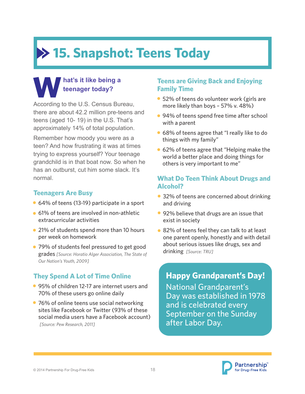# **15. Snapshot: Teens Today**

### **W hat's it like being a teenager today?**

According to the U.S. Census Bureau, there are about 42.2 million pre-teens and teens (aged 10- 19) in the U.S. That's approximately 14% of total population.

Remember how moody you were as a teen? And how frustrating it was at times trying to express yourself? Your teenage grandchild is in that boat now. So when he has an outburst, cut him some slack. It's normal.

#### **Teenagers Are Busy**

- 64% of teens (13-19) participate in a sport
- 61% of teens are involved in non-athletic extracurricular activities
- 21% of students spend more than 10 hours per week on homework
- 79% of students feel pressured to get good grades *[Source: Horatio Alger Association, The State of Our Nation's Youth, 2009]*

### **They Spend A Lot of Time Online**

- 95% of children 12-17 are internet users and 70% of these users go online daily
- 76% of online teens use social networking sites like Facebook or Twitter (93% of these social media users have a Facebook account) *[Source: Pew Research, 2011]*

#### **Teens are Giving Back and Enjoying Family Time**

- 52% of teens do volunteer work (girls are more likely than boys – 57% v. 48%)
- 94% of teens spend free time after school with a parent
- 68% of teens agree that "I really like to do things with my family"
- 62% of teens agree that "Helping make the world a better place and doing things for others is very important to me"

#### **What Do Teen Think About Drugs and Alcohol?**

- 32% of teens are concerned about drinking and driving
- 92% believe that drugs are an issue that exist in society
- 82% of teens feel they can talk to at least one parent openly, honestly and with detail about serious issues like drugs, sex and drinking *[Source: TRU]*

**Happy Grandparent's Day!** National Grandparent's Day was established in 1978 and is celebrated every September on the Sunday after Labor Day.

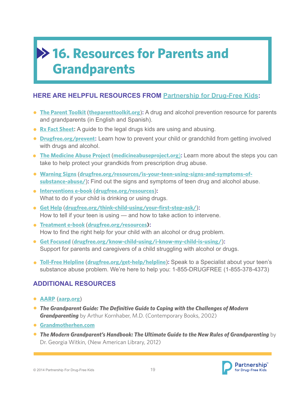## **16. Resources for Parents and Grandparents**

#### **HERE ARE HELPFUL RESOURCES FROM [Partnership for Drug-Free Kids:](http://www.drugfree.org/)**

- **[The Parent Toolkit](http://www.drugfree.org/the-parent-toolkit/)** (**[theparenttoolkit.org](http://www.theparenttoolkit.org/)**)**:** A drug and alcohol prevention resource for parents and grandparents (in English and Spanish).
- **[Rx Fact Sheet](http://www.drugfree.org/wp-content/uploads/2010/10/Preventing-Teen-Abuse-of-Prescription-Drugs-Fact-Sheet-2draft-Cephalon-sponsored.pdf):** A guide to the legal drugs kids are using and abusing.
- **[Drugfree.org/prevent](http://www.drugfree.org/prevent):** Learn how to prevent your child or grandchild from getting involved with drugs and alcohol.
- **[The Medicine Abuse Project](http://www.medicineabuseproject.org)** (**[medicineabuseproject.org](http://medicineabuseproject.org/)**)**:** Learn more about the steps you can take to help protect your grandkids from prescription drug abuse.
- **[Warning Signs](http://www.drugfree.org/resources/is-your-teen-using-signs-and-symptoms-of-substance-abuse/)** (**[drugfree.org/resources/is-your-teen-using-signs-and-symptoms-of](http://drugfree.org/resources/is-your-teen-using-signs-and-symptoms-of-substance-abuse/)[substance-abuse/](http://drugfree.org/resources/is-your-teen-using-signs-and-symptoms-of-substance-abuse/)**)**:** Find out the signs and symptoms of teen drug and alcohol abuse.
- **[Interventions e-book](http://www.drugfree.org/resources/)** (**[drugfree.org/resources](http://www.drugfree.org/resources)**)**:** What to do if your child is drinking or using drugs.
- **Get Help** (**[drugfree.org/think-child-using/your-first-step-ask/](http://www.drugfree.org/think-child-using/your-first-step-ask/)**)**:**  How to tell if your teen is using — and how to take action to intervene.
- **[Treatment e-book](http://www.drugfree.org/resources/)** (**drugfree.org/resources):** How to find the right help for your child with an alcohol or drug problem.
- **Get Focused** (**[drugfree.org/know-child-using/i-know-my-child-is-using/](http://www.drugfree.org/know-child-using/i-know-my-child-is-using/)**)**:** Support for parents and caregivers of a child struggling with alcohol or drugs.
- **[Toll-Free Helpline](http://www.drugfree.org/get-help/helpline/)** (**[drugfree.org/get-help/helpline](http://www.drugfree.org/get-help/helpline/)**)**:** Speak to a Specialist about your teen's substance abuse problem. We're here to help you: 1-855-DRUGFREE (1-855-378-4373)

#### **ADDITIONAL RESOURCES**

- **[AARP](http://www.aarp.org/)** (**[aarp.org](http://www.aarp.org/)**)
- *The Grandparent Guide: The Definitive Guide to Coping with the Challenges of Modern*  **Grandparenting** by Arthur Kornhaber, M.D. (Contemporary Books, 2002)
- **[Grandmotherhen.com](http://www.grandmotherhen.com/)**
- *The Modern Grandparent's Handbook: The Ultimate Guide to the New Rules of Grandparenting* by Dr. Georgia Witkin, (New American Library, 2012)